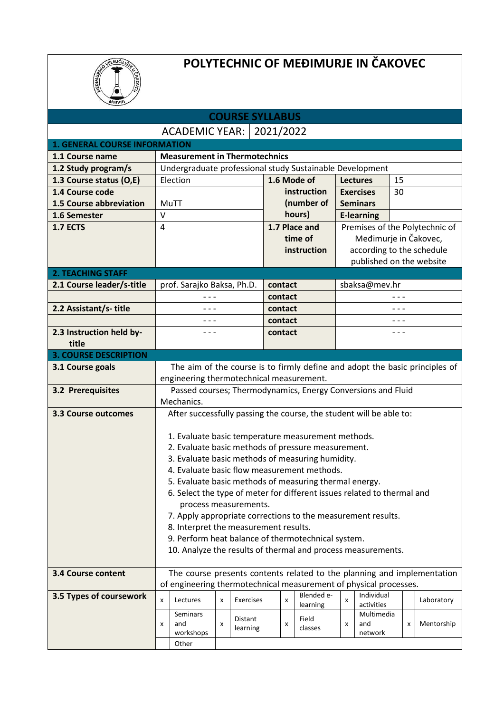

## **POLYTECHNIC OF MEĐIMURJE IN ČAKOVEC**

| <b>COURSE SYLLABUS</b>               |                                                              |                                                                                                                         |   |           |             |   |             |                        |                           |   |            |
|--------------------------------------|--------------------------------------------------------------|-------------------------------------------------------------------------------------------------------------------------|---|-----------|-------------|---|-------------|------------------------|---------------------------|---|------------|
| <b>ACADEMIC YEAR:</b><br>2021/2022   |                                                              |                                                                                                                         |   |           |             |   |             |                        |                           |   |            |
| <b>1. GENERAL COURSE INFORMATION</b> |                                                              |                                                                                                                         |   |           |             |   |             |                        |                           |   |            |
| 1.1 Course name                      |                                                              | <b>Measurement in Thermotechnics</b>                                                                                    |   |           |             |   |             |                        |                           |   |            |
| 1.2 Study program/s                  |                                                              | Undergraduate professional study Sustainable Development                                                                |   |           |             |   |             |                        |                           |   |            |
| 1.3 Course status (O,E)              |                                                              | Election                                                                                                                |   |           |             |   | 1.6 Mode of |                        | <b>Lectures</b><br>15     |   |            |
| 1.4 Course code                      |                                                              |                                                                                                                         |   |           | instruction |   |             | 30<br><b>Exercises</b> |                           |   |            |
| 1.5 Course abbreviation              |                                                              | MuTT                                                                                                                    |   |           |             |   | (number of  |                        | <b>Seminars</b>           |   |            |
| 1.6 Semester                         | $\vee$                                                       |                                                                                                                         |   |           |             |   | hours)      |                        | <b>E-learning</b>         |   |            |
| <b>1.7 ECTS</b>                      | 1.7 Place and<br>Premises of the Polytechnic of<br>4         |                                                                                                                         |   |           |             |   |             |                        |                           |   |            |
|                                      |                                                              |                                                                                                                         |   |           |             |   | time of     |                        | Međimurje in Čakovec,     |   |            |
|                                      |                                                              |                                                                                                                         |   |           |             |   | instruction |                        | according to the schedule |   |            |
|                                      |                                                              |                                                                                                                         |   |           |             |   |             |                        | published on the website  |   |            |
| <b>2. TEACHING STAFF</b>             |                                                              |                                                                                                                         |   |           |             |   |             |                        |                           |   |            |
| 2.1 Course leader/s-title            |                                                              | prof. Sarajko Baksa, Ph.D.                                                                                              |   |           | contact     |   |             |                        | sbaksa@mev.hr             |   |            |
|                                      |                                                              |                                                                                                                         |   |           | contact     |   |             |                        |                           |   |            |
| 2.2 Assistant/s-title                |                                                              | $- - -$                                                                                                                 |   |           | contact     |   |             |                        |                           |   |            |
|                                      |                                                              | - - -                                                                                                                   |   |           | contact     |   |             |                        | - - -                     |   |            |
| 2.3 Instruction held by-             |                                                              | - - -                                                                                                                   |   |           | contact     |   |             |                        | - - -                     |   |            |
| title                                |                                                              |                                                                                                                         |   |           |             |   |             |                        |                           |   |            |
| <b>3. COURSE DESCRIPTION</b>         |                                                              |                                                                                                                         |   |           |             |   |             |                        |                           |   |            |
| 3.1 Course goals                     |                                                              | The aim of the course is to firmly define and adopt the basic principles of<br>engineering thermotechnical measurement. |   |           |             |   |             |                        |                           |   |            |
| <b>3.2 Prerequisites</b>             |                                                              | Passed courses; Thermodynamics, Energy Conversions and Fluid                                                            |   |           |             |   |             |                        |                           |   |            |
|                                      |                                                              | Mechanics.                                                                                                              |   |           |             |   |             |                        |                           |   |            |
| <b>3.3 Course outcomes</b>           |                                                              | After successfully passing the course, the student will be able to:                                                     |   |           |             |   |             |                        |                           |   |            |
|                                      |                                                              |                                                                                                                         |   |           |             |   |             |                        |                           |   |            |
|                                      |                                                              | 1. Evaluate basic temperature measurement methods.                                                                      |   |           |             |   |             |                        |                           |   |            |
|                                      |                                                              | 2. Evaluate basic methods of pressure measurement.                                                                      |   |           |             |   |             |                        |                           |   |            |
|                                      |                                                              | 3. Evaluate basic methods of measuring humidity.                                                                        |   |           |             |   |             |                        |                           |   |            |
|                                      |                                                              | 4. Evaluate basic flow measurement methods.                                                                             |   |           |             |   |             |                        |                           |   |            |
|                                      |                                                              | 5. Evaluate basic methods of measuring thermal energy.                                                                  |   |           |             |   |             |                        |                           |   |            |
|                                      |                                                              | 6. Select the type of meter for different issues related to thermal and                                                 |   |           |             |   |             |                        |                           |   |            |
|                                      |                                                              | process measurements.                                                                                                   |   |           |             |   |             |                        |                           |   |            |
|                                      |                                                              | 7. Apply appropriate corrections to the measurement results.                                                            |   |           |             |   |             |                        |                           |   |            |
|                                      |                                                              | 8. Interpret the measurement results.                                                                                   |   |           |             |   |             |                        |                           |   |            |
|                                      | 9. Perform heat balance of thermotechnical system.           |                                                                                                                         |   |           |             |   |             |                        |                           |   |            |
|                                      | 10. Analyze the results of thermal and process measurements. |                                                                                                                         |   |           |             |   |             |                        |                           |   |            |
|                                      |                                                              |                                                                                                                         |   |           |             |   |             |                        |                           |   |            |
| <b>3.4 Course content</b>            |                                                              | The course presents contents related to the planning and implementation                                                 |   |           |             |   |             |                        |                           |   |            |
| 3.5 Types of coursework              |                                                              | of engineering thermotechnical measurement of physical processes.                                                       |   |           |             |   | Blended e-  |                        | Individual                |   |            |
|                                      | X                                                            | Lectures                                                                                                                | x | Exercises |             | X | learning    | X                      | activities                |   | Laboratory |
|                                      |                                                              | Seminars                                                                                                                |   | Distant   |             |   | Field       |                        | Multimedia                |   |            |
|                                      | x                                                            | and<br>workshops                                                                                                        | x | learning  |             | X | classes     | x                      | and<br>network            | x | Mentorship |
|                                      |                                                              | Other                                                                                                                   |   |           |             |   |             |                        |                           |   |            |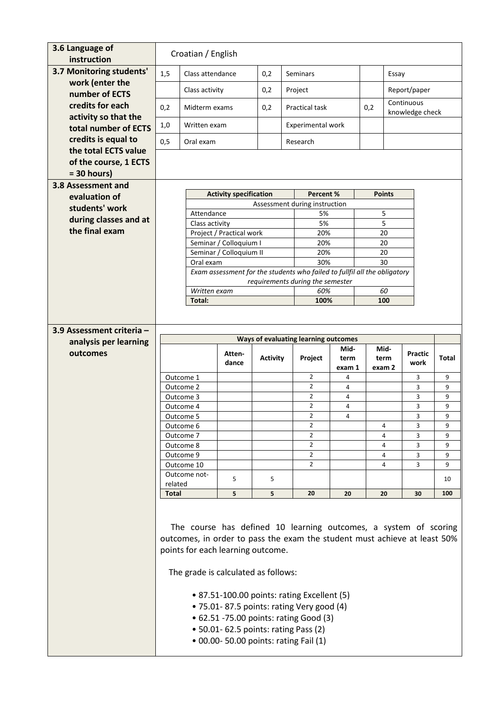| 3.6 Language of<br>instruction           | Croatian / English  |                                                                                                                                               |                                                                                 |                 |  |                                      |        |     |               |                 |              |
|------------------------------------------|---------------------|-----------------------------------------------------------------------------------------------------------------------------------------------|---------------------------------------------------------------------------------|-----------------|--|--------------------------------------|--------|-----|---------------|-----------------|--------------|
| 3.7 Monitoring students'                 | 1,5                 | Class attendance                                                                                                                              |                                                                                 | 0,2             |  | <b>Seminars</b>                      |        |     |               | Essay           |              |
| work (enter the                          |                     | Class activity                                                                                                                                |                                                                                 | 0,2             |  | Project                              |        |     |               | Report/paper    |              |
| number of ECTS                           |                     |                                                                                                                                               |                                                                                 |                 |  |                                      |        |     |               | Continuous      |              |
| credits for each<br>activity so that the | 0,2                 | Midterm exams                                                                                                                                 |                                                                                 | 0,2             |  | <b>Practical task</b>                |        | 0,2 |               | knowledge check |              |
| total number of ECTS                     | 1,0<br>Written exam |                                                                                                                                               |                                                                                 |                 |  | Experimental work                    |        |     |               |                 |              |
| credits is equal to                      | 0,5                 | Oral exam                                                                                                                                     |                                                                                 |                 |  | Research                             |        |     |               |                 |              |
| the total ECTS value                     |                     |                                                                                                                                               |                                                                                 |                 |  |                                      |        |     |               |                 |              |
| of the course, 1 ECTS                    |                     |                                                                                                                                               |                                                                                 |                 |  |                                      |        |     |               |                 |              |
| $= 30$ hours)<br>3.8 Assessment and      |                     |                                                                                                                                               |                                                                                 |                 |  |                                      |        |     |               |                 |              |
| evaluation of                            |                     |                                                                                                                                               | <b>Activity specification</b>                                                   |                 |  | Percent %                            |        |     | <b>Points</b> |                 |              |
| students' work                           |                     |                                                                                                                                               |                                                                                 |                 |  | Assessment during instruction        |        |     |               |                 |              |
| during classes and at                    |                     | Attendance<br>Class activity                                                                                                                  |                                                                                 |                 |  | 5%<br>5%                             |        |     | 5<br>5        |                 |              |
| the final exam                           |                     |                                                                                                                                               | Project / Practical work                                                        |                 |  | 20%                                  |        |     | 20            |                 |              |
|                                          |                     |                                                                                                                                               | Seminar / Colloquium I                                                          |                 |  | 20%                                  |        |     | 20            |                 |              |
|                                          |                     |                                                                                                                                               | Seminar / Colloquium II                                                         |                 |  | 20%                                  |        |     | 20            |                 |              |
|                                          |                     | Oral exam                                                                                                                                     | Exam assessment for the students who failed to fullfil all the obligatory       |                 |  | 30%                                  |        |     | 30            |                 |              |
|                                          |                     |                                                                                                                                               |                                                                                 |                 |  | requirements during the semester     |        |     |               |                 |              |
|                                          |                     | Written exam                                                                                                                                  |                                                                                 |                 |  | 60%                                  |        |     | 60            |                 |              |
|                                          |                     | Total:                                                                                                                                        |                                                                                 |                 |  | 100%                                 |        |     | 100           |                 |              |
|                                          |                     |                                                                                                                                               |                                                                                 |                 |  |                                      |        |     |               |                 |              |
| 3.9 Assessment criteria -                |                     |                                                                                                                                               |                                                                                 |                 |  |                                      |        |     |               |                 |              |
| analysis per learning                    |                     |                                                                                                                                               |                                                                                 |                 |  | Ways of evaluating learning outcomes | Mid-   |     | Mid-          |                 |              |
| outcomes                                 |                     |                                                                                                                                               |                                                                                 |                 |  |                                      |        |     |               |                 |              |
|                                          |                     |                                                                                                                                               | Atten-                                                                          | <b>Activity</b> |  | Project                              | term   |     | term          | <b>Practic</b>  | <b>Total</b> |
|                                          |                     |                                                                                                                                               | dance                                                                           |                 |  |                                      | exam 1 |     | exam 2        | work            |              |
|                                          |                     | Outcome 1<br>Outcome 2                                                                                                                        |                                                                                 |                 |  | $\overline{2}$<br>$\overline{2}$     | 4<br>4 |     |               | 3<br>3          | 9<br>9       |
|                                          |                     | Outcome 3                                                                                                                                     |                                                                                 |                 |  | $\overline{2}$                       | 4      |     |               | 3               | 9            |
|                                          |                     | Outcome 4                                                                                                                                     |                                                                                 |                 |  | $\overline{2}$                       | 4      |     |               | 3               | 9            |
|                                          |                     | Outcome 5                                                                                                                                     |                                                                                 |                 |  | $\overline{2}$                       | 4      |     |               | 3               | 9            |
|                                          |                     | Outcome 6<br>Outcome 7                                                                                                                        |                                                                                 |                 |  | $\overline{2}$<br>$\overline{2}$     |        |     | 4<br>4        | 3<br>3          | 9<br>9       |
|                                          |                     | Outcome 8                                                                                                                                     |                                                                                 |                 |  | $\overline{2}$                       |        |     | 4             | 3               | 9            |
|                                          |                     | Outcome 9                                                                                                                                     |                                                                                 |                 |  | $\overline{2}$                       |        |     | 4             | 3               | 9            |
|                                          |                     | Outcome 10<br>Outcome not-                                                                                                                    |                                                                                 |                 |  | $\overline{2}$                       |        |     | 4             | 3               | 9            |
|                                          | related             |                                                                                                                                               | 5                                                                               | 5               |  |                                      |        |     |               |                 | 10           |
|                                          | <b>Total</b>        |                                                                                                                                               | 5                                                                               | 5               |  | 20                                   | 20     |     | 20            | 30              | 100          |
|                                          |                     |                                                                                                                                               |                                                                                 |                 |  |                                      |        |     |               |                 |              |
|                                          |                     |                                                                                                                                               |                                                                                 |                 |  |                                      |        |     |               |                 |              |
|                                          |                     | The course has defined 10 learning outcomes, a system of scoring<br>outcomes, in order to pass the exam the student must achieve at least 50% |                                                                                 |                 |  |                                      |        |     |               |                 |              |
|                                          |                     | points for each learning outcome.                                                                                                             |                                                                                 |                 |  |                                      |        |     |               |                 |              |
|                                          |                     |                                                                                                                                               |                                                                                 |                 |  |                                      |        |     |               |                 |              |
|                                          |                     | The grade is calculated as follows:                                                                                                           |                                                                                 |                 |  |                                      |        |     |               |                 |              |
|                                          |                     |                                                                                                                                               |                                                                                 |                 |  |                                      |        |     |               |                 |              |
|                                          |                     |                                                                                                                                               | • 87.51-100.00 points: rating Excellent (5)                                     |                 |  |                                      |        |     |               |                 |              |
|                                          |                     |                                                                                                                                               | . 75.01-87.5 points: rating Very good (4)                                       |                 |  |                                      |        |     |               |                 |              |
|                                          |                     |                                                                                                                                               | • 62.51 -75.00 points: rating Good (3)                                          |                 |  |                                      |        |     |               |                 |              |
|                                          |                     |                                                                                                                                               | • 50.01- 62.5 points: rating Pass (2)<br>• 00.00- 50.00 points: rating Fail (1) |                 |  |                                      |        |     |               |                 |              |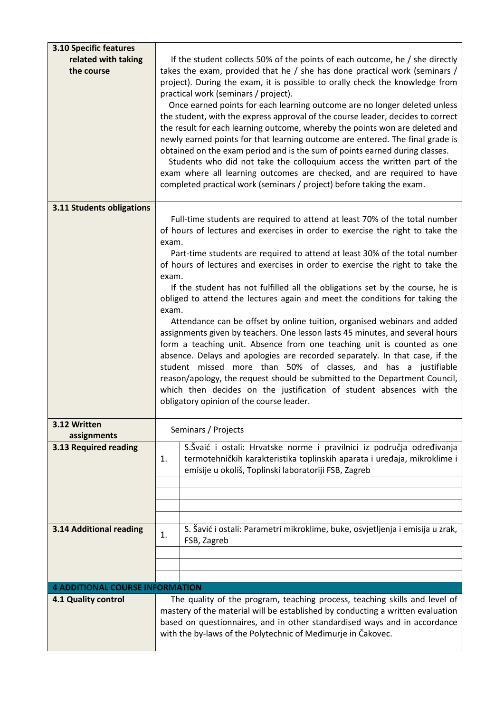| <b>3.10 Specific features</b><br>related with taking | If the student collects 50% of the points of each outcome, he / she directly                                                                                                                                                                                                                                                                                                                                                                                                                                                                                                           |  |  |  |  |  |  |
|------------------------------------------------------|----------------------------------------------------------------------------------------------------------------------------------------------------------------------------------------------------------------------------------------------------------------------------------------------------------------------------------------------------------------------------------------------------------------------------------------------------------------------------------------------------------------------------------------------------------------------------------------|--|--|--|--|--|--|
| the course                                           | takes the exam, provided that he / she has done practical work (seminars /<br>project). During the exam, it is possible to orally check the knowledge from<br>practical work (seminars / project).<br>Once earned points for each learning outcome are no longer deleted unless<br>the student, with the express approval of the course leader, decides to correct                                                                                                                                                                                                                     |  |  |  |  |  |  |
|                                                      | the result for each learning outcome, whereby the points won are deleted and<br>newly earned points for that learning outcome are entered. The final grade is<br>obtained on the exam period and is the sum of points earned during classes.<br>Students who did not take the colloquium access the written part of the<br>exam where all learning outcomes are checked, and are required to have                                                                                                                                                                                      |  |  |  |  |  |  |
|                                                      | completed practical work (seminars / project) before taking the exam.                                                                                                                                                                                                                                                                                                                                                                                                                                                                                                                  |  |  |  |  |  |  |
| 3.11 Students obligations                            | Full-time students are required to attend at least 70% of the total number<br>of hours of lectures and exercises in order to exercise the right to take the                                                                                                                                                                                                                                                                                                                                                                                                                            |  |  |  |  |  |  |
|                                                      | exam.<br>Part-time students are required to attend at least 30% of the total number<br>of hours of lectures and exercises in order to exercise the right to take the<br>exam.                                                                                                                                                                                                                                                                                                                                                                                                          |  |  |  |  |  |  |
|                                                      | If the student has not fulfilled all the obligations set by the course, he is<br>obliged to attend the lectures again and meet the conditions for taking the<br>exam.                                                                                                                                                                                                                                                                                                                                                                                                                  |  |  |  |  |  |  |
|                                                      | Attendance can be offset by online tuition, organised webinars and added<br>assignments given by teachers. One lesson lasts 45 minutes, and several hours<br>form a teaching unit. Absence from one teaching unit is counted as one<br>absence. Delays and apologies are recorded separately. In that case, if the<br>student missed more than 50% of classes, and has a justifiable<br>reason/apology, the request should be submitted to the Department Council,<br>which then decides on the justification of student absences with the<br>obligatory opinion of the course leader. |  |  |  |  |  |  |
| 3.12 Written<br>assignments                          | Seminars / Projects                                                                                                                                                                                                                                                                                                                                                                                                                                                                                                                                                                    |  |  |  |  |  |  |
| 3.13 Required reading                                | S.Švaić i ostali: Hrvatske norme i pravilnici iz područja određivanja<br>termotehničkih karakteristika toplinskih aparata i uređaja, mikroklime i<br>1.<br>emisije u okoliš, Toplinski laboratoriji FSB, Zagreb                                                                                                                                                                                                                                                                                                                                                                        |  |  |  |  |  |  |
|                                                      |                                                                                                                                                                                                                                                                                                                                                                                                                                                                                                                                                                                        |  |  |  |  |  |  |
|                                                      |                                                                                                                                                                                                                                                                                                                                                                                                                                                                                                                                                                                        |  |  |  |  |  |  |
| 3.14 Additional reading                              | S. Šavić i ostali: Parametri mikroklime, buke, osvjetljenja i emisija u zrak,<br>1.<br>FSB, Zagreb                                                                                                                                                                                                                                                                                                                                                                                                                                                                                     |  |  |  |  |  |  |
|                                                      |                                                                                                                                                                                                                                                                                                                                                                                                                                                                                                                                                                                        |  |  |  |  |  |  |
| <b>4 ADDITIONAL COURSE INFORMATION</b>               |                                                                                                                                                                                                                                                                                                                                                                                                                                                                                                                                                                                        |  |  |  |  |  |  |
| 4.1 Quality control                                  | The quality of the program, teaching process, teaching skills and level of                                                                                                                                                                                                                                                                                                                                                                                                                                                                                                             |  |  |  |  |  |  |
|                                                      | mastery of the material will be established by conducting a written evaluation<br>based on questionnaires, and in other standardised ways and in accordance<br>with the by-laws of the Polytechnic of Medimurje in Čakovec.                                                                                                                                                                                                                                                                                                                                                            |  |  |  |  |  |  |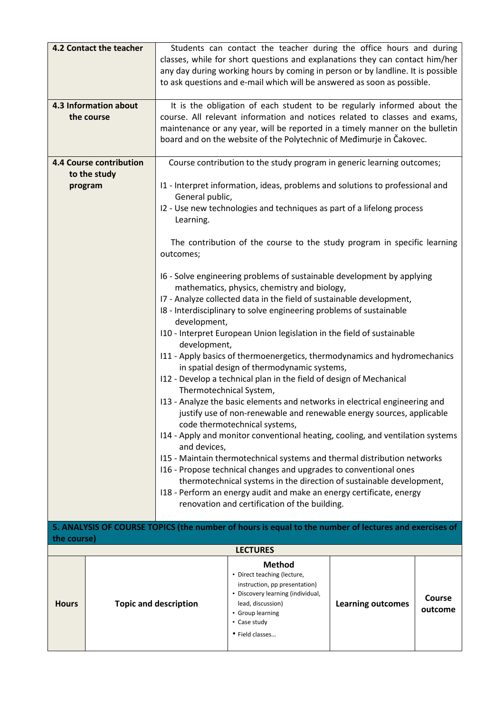|              | 4.2 Contact the teacher<br>Students can contact the teacher during the office hours and during<br>classes, while for short questions and explanations they can contact him/her<br>any day during working hours by coming in person or by landline. It is possible<br>to ask questions and e-mail which will be answered as soon as possible. |                                                                                                                                                                                                                                                                                                               |                                                                                                                                                                             |                          |                   |  |  |  |
|--------------|----------------------------------------------------------------------------------------------------------------------------------------------------------------------------------------------------------------------------------------------------------------------------------------------------------------------------------------------|---------------------------------------------------------------------------------------------------------------------------------------------------------------------------------------------------------------------------------------------------------------------------------------------------------------|-----------------------------------------------------------------------------------------------------------------------------------------------------------------------------|--------------------------|-------------------|--|--|--|
|              | 4.3 Information about<br>the course                                                                                                                                                                                                                                                                                                          | It is the obligation of each student to be regularly informed about the<br>course. All relevant information and notices related to classes and exams,<br>maintenance or any year, will be reported in a timely manner on the bulletin<br>board and on the website of the Polytechnic of Medimurje in Čakovec. |                                                                                                                                                                             |                          |                   |  |  |  |
|              | <b>4.4 Course contribution</b>                                                                                                                                                                                                                                                                                                               |                                                                                                                                                                                                                                                                                                               | Course contribution to the study program in generic learning outcomes;                                                                                                      |                          |                   |  |  |  |
|              | to the study                                                                                                                                                                                                                                                                                                                                 |                                                                                                                                                                                                                                                                                                               |                                                                                                                                                                             |                          |                   |  |  |  |
|              | program                                                                                                                                                                                                                                                                                                                                      | General public,                                                                                                                                                                                                                                                                                               | I1 - Interpret information, ideas, problems and solutions to professional and                                                                                               |                          |                   |  |  |  |
|              |                                                                                                                                                                                                                                                                                                                                              | Learning.                                                                                                                                                                                                                                                                                                     | I2 - Use new technologies and techniques as part of a lifelong process                                                                                                      |                          |                   |  |  |  |
|              |                                                                                                                                                                                                                                                                                                                                              | outcomes;                                                                                                                                                                                                                                                                                                     | The contribution of the course to the study program in specific learning                                                                                                    |                          |                   |  |  |  |
|              |                                                                                                                                                                                                                                                                                                                                              |                                                                                                                                                                                                                                                                                                               | I6 - Solve engineering problems of sustainable development by applying<br>mathematics, physics, chemistry and biology,                                                      |                          |                   |  |  |  |
|              |                                                                                                                                                                                                                                                                                                                                              | I7 - Analyze collected data in the field of sustainable development,<br>I8 - Interdisciplinary to solve engineering problems of sustainable<br>development,                                                                                                                                                   |                                                                                                                                                                             |                          |                   |  |  |  |
|              |                                                                                                                                                                                                                                                                                                                                              | development,                                                                                                                                                                                                                                                                                                  | I10 - Interpret European Union legislation in the field of sustainable                                                                                                      |                          |                   |  |  |  |
|              | I11 - Apply basics of thermoenergetics, thermodynamics and hydromechanics                                                                                                                                                                                                                                                                    |                                                                                                                                                                                                                                                                                                               |                                                                                                                                                                             |                          |                   |  |  |  |
|              |                                                                                                                                                                                                                                                                                                                                              |                                                                                                                                                                                                                                                                                                               | in spatial design of thermodynamic systems,<br>I12 - Develop a technical plan in the field of design of Mechanical                                                          |                          |                   |  |  |  |
|              |                                                                                                                                                                                                                                                                                                                                              | Thermotechnical System,                                                                                                                                                                                                                                                                                       |                                                                                                                                                                             |                          |                   |  |  |  |
|              |                                                                                                                                                                                                                                                                                                                                              | 113 - Analyze the basic elements and networks in electrical engineering and<br>justify use of non-renewable and renewable energy sources, applicable<br>code thermotechnical systems,                                                                                                                         |                                                                                                                                                                             |                          |                   |  |  |  |
|              |                                                                                                                                                                                                                                                                                                                                              | I14 - Apply and monitor conventional heating, cooling, and ventilation systems<br>and devices,                                                                                                                                                                                                                |                                                                                                                                                                             |                          |                   |  |  |  |
|              |                                                                                                                                                                                                                                                                                                                                              |                                                                                                                                                                                                                                                                                                               | I15 - Maintain thermotechnical systems and thermal distribution networks                                                                                                    |                          |                   |  |  |  |
|              |                                                                                                                                                                                                                                                                                                                                              |                                                                                                                                                                                                                                                                                                               | 116 - Propose technical changes and upgrades to conventional ones                                                                                                           |                          |                   |  |  |  |
|              |                                                                                                                                                                                                                                                                                                                                              |                                                                                                                                                                                                                                                                                                               | thermotechnical systems in the direction of sustainable development,<br>I18 - Perform an energy audit and make an energy certificate, energy                                |                          |                   |  |  |  |
|              |                                                                                                                                                                                                                                                                                                                                              |                                                                                                                                                                                                                                                                                                               | renovation and certification of the building.                                                                                                                               |                          |                   |  |  |  |
| the course)  |                                                                                                                                                                                                                                                                                                                                              |                                                                                                                                                                                                                                                                                                               | 5. ANALYSIS OF COURSE TOPICS (the number of hours is equal to the number of lectures and exercises of                                                                       |                          |                   |  |  |  |
|              |                                                                                                                                                                                                                                                                                                                                              |                                                                                                                                                                                                                                                                                                               | <b>LECTURES</b>                                                                                                                                                             |                          |                   |  |  |  |
| <b>Hours</b> |                                                                                                                                                                                                                                                                                                                                              | <b>Topic and description</b>                                                                                                                                                                                                                                                                                  | <b>Method</b><br>• Direct teaching (lecture,<br>instruction, pp presentation)<br>• Discovery learning (individual,<br>lead, discussion)<br>• Group learning<br>• Case study | <b>Learning outcomes</b> | Course<br>outcome |  |  |  |
|              |                                                                                                                                                                                                                                                                                                                                              |                                                                                                                                                                                                                                                                                                               | • Field classes                                                                                                                                                             |                          |                   |  |  |  |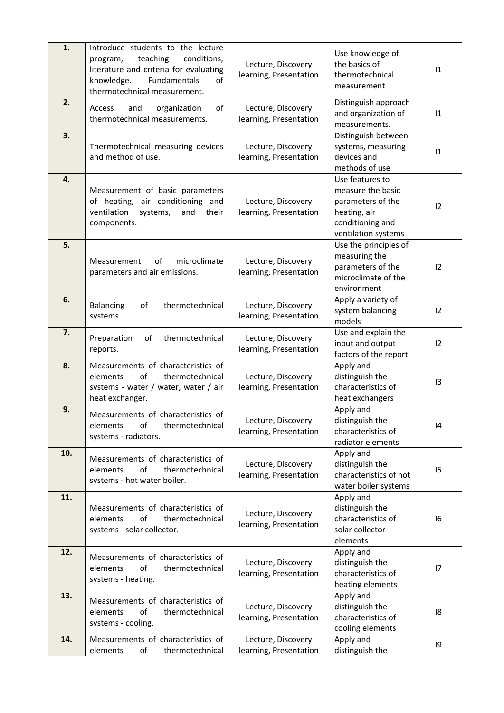| 1.  | Introduce students to the lecture<br>teaching<br>conditions,<br>program,<br>literature and criteria for evaluating<br>Fundamentals<br>knowledge.<br>of<br>thermotechnical measurement. | Lecture, Discovery<br>learning, Presentation | Use knowledge of<br>the basics of<br>thermotechnical<br>measurement                                                  | 1               |
|-----|----------------------------------------------------------------------------------------------------------------------------------------------------------------------------------------|----------------------------------------------|----------------------------------------------------------------------------------------------------------------------|-----------------|
| 2.  | of<br>Access<br>and<br>organization<br>thermotechnical measurements.                                                                                                                   | Lecture, Discovery<br>learning, Presentation | Distinguish approach<br>and organization of<br>measurements.                                                         | 1               |
| 3.  | Thermotechnical measuring devices<br>and method of use.                                                                                                                                | Lecture, Discovery<br>learning, Presentation | Distinguish between<br>systems, measuring<br>devices and<br>methods of use                                           | 1               |
| 4.  | Measurement of basic parameters<br>of heating, air conditioning and<br>ventilation<br>systems,<br>and<br>their<br>components.                                                          | Lecture, Discovery<br>learning, Presentation | Use features to<br>measure the basic<br>parameters of the<br>heating, air<br>conditioning and<br>ventilation systems | 12              |
| 5.  | Measurement<br>microclimate<br>0f<br>parameters and air emissions.                                                                                                                     | Lecture, Discovery<br>learning, Presentation | Use the principles of<br>measuring the<br>parameters of the<br>microclimate of the<br>environment                    | 12              |
| 6.  | thermotechnical<br>of<br><b>Balancing</b><br>systems.                                                                                                                                  | Lecture, Discovery<br>learning, Presentation | Apply a variety of<br>system balancing<br>models                                                                     | 12              |
| 7.  | thermotechnical<br>of<br>Preparation<br>reports.                                                                                                                                       | Lecture, Discovery<br>learning, Presentation | Use and explain the<br>input and output<br>factors of the report                                                     | 12              |
| 8.  | Measurements of characteristics of<br>elements<br>οf<br>thermotechnical<br>systems - water / water, water / air<br>heat exchanger.                                                     | Lecture, Discovery<br>learning, Presentation | Apply and<br>distinguish the<br>characteristics of<br>heat exchangers                                                | $\overline{13}$ |
| 9.  | Measurements of characteristics of<br>thermotechnical<br>elements<br>of<br>systems - radiators.                                                                                        | Lecture, Discovery<br>learning, Presentation | Apply and<br>distinguish the<br>characteristics of<br>radiator elements                                              | 4               |
| 10. | Measurements of characteristics of<br>of<br>elements<br>thermotechnical<br>systems - hot water boiler.                                                                                 | Lecture, Discovery<br>learning, Presentation | Apply and<br>distinguish the<br>characteristics of hot<br>water boiler systems                                       | 15              |
| 11. | Measurements of characteristics of<br>elements<br>οf<br>thermotechnical<br>systems - solar collector.                                                                                  | Lecture, Discovery<br>learning, Presentation | Apply and<br>distinguish the<br>characteristics of<br>solar collector<br>elements                                    | 16              |
| 12. | Measurements of characteristics of<br>elements<br>οf<br>thermotechnical<br>systems - heating.                                                                                          | Lecture, Discovery<br>learning, Presentation | Apply and<br>distinguish the<br>characteristics of<br>heating elements                                               | 17              |
| 13. | Measurements of characteristics of<br>of<br>elements<br>thermotechnical<br>systems - cooling.                                                                                          | Lecture, Discovery<br>learning, Presentation | Apply and<br>distinguish the<br>characteristics of<br>cooling elements                                               | 18              |
| 14. | Measurements of characteristics of<br>elements<br>thermotechnical<br>οf                                                                                                                | Lecture, Discovery<br>learning, Presentation | Apply and<br>distinguish the                                                                                         | 9               |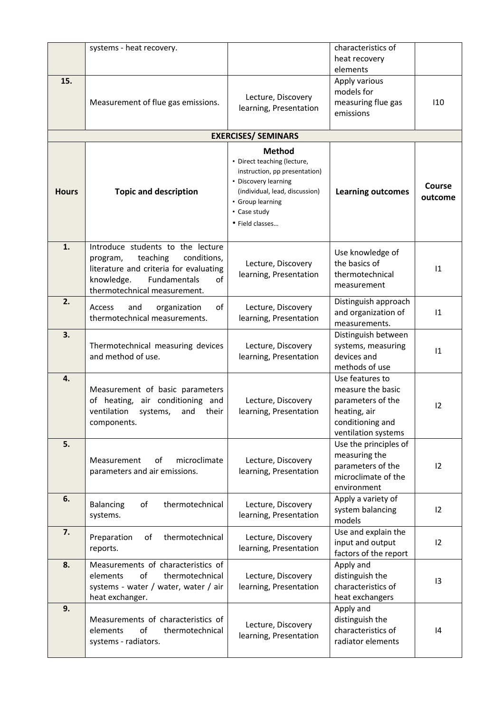|              | systems - heat recovery.                                |                                | characteristics of                |                 |  |  |  |  |
|--------------|---------------------------------------------------------|--------------------------------|-----------------------------------|-----------------|--|--|--|--|
|              |                                                         |                                | heat recovery                     |                 |  |  |  |  |
|              |                                                         |                                | elements                          |                 |  |  |  |  |
| 15.          |                                                         |                                | Apply various                     |                 |  |  |  |  |
|              |                                                         |                                | models for                        |                 |  |  |  |  |
|              | Measurement of flue gas emissions.                      | Lecture, Discovery             | measuring flue gas                | 110             |  |  |  |  |
|              |                                                         | learning, Presentation         | emissions                         |                 |  |  |  |  |
|              |                                                         |                                |                                   |                 |  |  |  |  |
|              |                                                         | <b>EXERCISES/ SEMINARS</b>     |                                   |                 |  |  |  |  |
|              |                                                         | <b>Method</b>                  |                                   |                 |  |  |  |  |
|              |                                                         | • Direct teaching (lecture,    |                                   |                 |  |  |  |  |
|              |                                                         | instruction, pp presentation)  |                                   |                 |  |  |  |  |
|              |                                                         | • Discovery learning           |                                   | Course          |  |  |  |  |
| <b>Hours</b> | <b>Topic and description</b>                            | (individual, lead, discussion) | <b>Learning outcomes</b>          | outcome         |  |  |  |  |
|              |                                                         | • Group learning               |                                   |                 |  |  |  |  |
|              |                                                         | • Case study                   |                                   |                 |  |  |  |  |
|              |                                                         | • Field classes                |                                   |                 |  |  |  |  |
| 1.           | Introduce students to the lecture                       |                                |                                   |                 |  |  |  |  |
|              | teaching<br>conditions,<br>program,                     |                                | Use knowledge of                  |                 |  |  |  |  |
|              | literature and criteria for evaluating                  | Lecture, Discovery             | the basics of                     | 1               |  |  |  |  |
|              | Fundamentals<br>knowledge.<br>of                        | learning, Presentation         | thermotechnical                   |                 |  |  |  |  |
|              | thermotechnical measurement.                            |                                | measurement                       |                 |  |  |  |  |
| 2.           |                                                         |                                | Distinguish approach              |                 |  |  |  |  |
|              | of<br>Access<br>and<br>organization                     | Lecture, Discovery             | and organization of               | 1               |  |  |  |  |
|              | thermotechnical measurements.                           | learning, Presentation         | measurements.                     |                 |  |  |  |  |
| 3.           |                                                         |                                |                                   |                 |  |  |  |  |
|              |                                                         |                                | Distinguish between               |                 |  |  |  |  |
|              | Thermotechnical measuring devices<br>and method of use. | Lecture, Discovery             | systems, measuring<br>devices and | 1               |  |  |  |  |
|              |                                                         | learning, Presentation         |                                   |                 |  |  |  |  |
|              |                                                         |                                | methods of use                    |                 |  |  |  |  |
| 4.           |                                                         |                                | Use features to                   |                 |  |  |  |  |
|              | Measurement of basic parameters                         |                                | measure the basic                 |                 |  |  |  |  |
|              | of heating, air conditioning and                        | Lecture, Discovery             | parameters of the                 | 12              |  |  |  |  |
|              | ventilation systems,<br>and<br>their                    | learning, Presentation         | heating, air                      |                 |  |  |  |  |
|              | components.                                             |                                | conditioning and                  |                 |  |  |  |  |
|              |                                                         |                                | ventilation systems               |                 |  |  |  |  |
| 5.           |                                                         |                                | Use the principles of             |                 |  |  |  |  |
|              | Measurement<br>0f<br>microclimate                       | Lecture, Discovery             | measuring the                     |                 |  |  |  |  |
|              | parameters and air emissions.                           | learning, Presentation         | parameters of the                 | 12              |  |  |  |  |
|              |                                                         |                                | microclimate of the               |                 |  |  |  |  |
|              |                                                         |                                | environment                       |                 |  |  |  |  |
| 6.           | of<br>thermotechnical<br>Balancing                      | Lecture, Discovery             | Apply a variety of                |                 |  |  |  |  |
|              | systems.                                                | learning, Presentation         | system balancing                  | 12              |  |  |  |  |
|              |                                                         |                                | models                            |                 |  |  |  |  |
| 7.           | thermotechnical<br>Preparation<br>of                    | Lecture, Discovery             | Use and explain the               |                 |  |  |  |  |
|              | reports.                                                | learning, Presentation         | input and output                  | 12              |  |  |  |  |
|              |                                                         |                                | factors of the report             |                 |  |  |  |  |
| 8.           | Measurements of characteristics of                      |                                | Apply and                         |                 |  |  |  |  |
|              | of<br>elements<br>thermotechnical                       | Lecture, Discovery             | distinguish the                   | $\overline{13}$ |  |  |  |  |
|              | systems - water / water, water / air                    | learning, Presentation         | characteristics of                |                 |  |  |  |  |
|              | heat exchanger.                                         |                                | heat exchangers                   |                 |  |  |  |  |
| 9.           |                                                         |                                | Apply and                         |                 |  |  |  |  |
|              | Measurements of characteristics of                      | Lecture, Discovery             | distinguish the                   |                 |  |  |  |  |
|              | elements<br>of<br>thermotechnical                       | learning, Presentation         | characteristics of                | 4               |  |  |  |  |
|              | systems - radiators.                                    |                                | radiator elements                 |                 |  |  |  |  |
|              |                                                         |                                |                                   |                 |  |  |  |  |